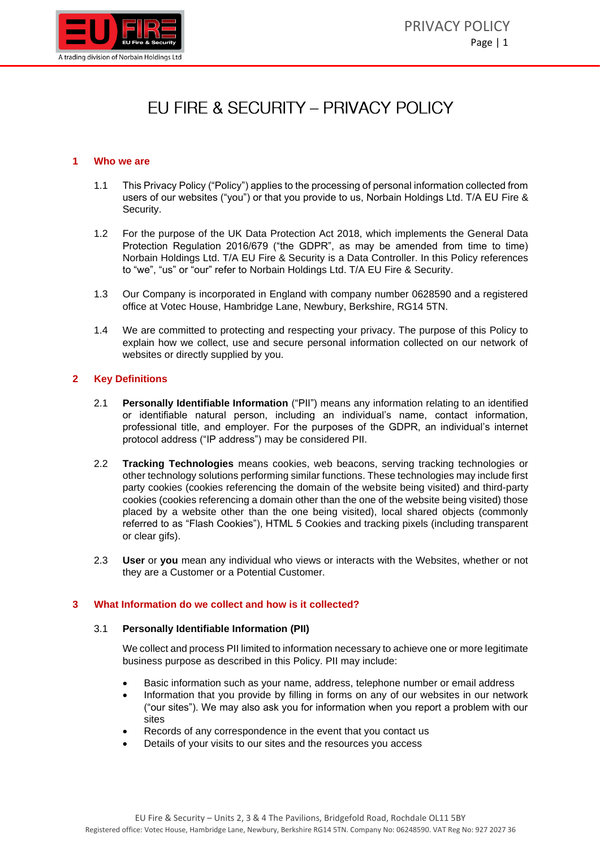

# FU FIRE & SECURITY - PRIVACY POLICY

## **1 Who we are**

- 1.1 This Privacy Policy ("Policy") applies to the processing of personal information collected from users of our websites ("you") or that you provide to us, Norbain Holdings Ltd. T/A EU Fire & Security.
- 1.2 For the purpose of the UK Data Protection Act 2018, which implements the General Data Protection Regulation 2016/679 ("the GDPR", as may be amended from time to time) Norbain Holdings Ltd. T/A EU Fire & Security is a Data Controller. In this Policy references to "we", "us" or "our" refer to Norbain Holdings Ltd. T/A EU Fire & Security.
- 1.3 Our Company is incorporated in England with company number 0628590 and a registered office at Votec House, Hambridge Lane, Newbury, Berkshire, RG14 5TN.
- 1.4 We are committed to protecting and respecting your privacy. The purpose of this Policy to explain how we collect, use and secure personal information collected on our network of websites or directly supplied by you.

## **2 Key Definitions**

- 2.1 **Personally Identifiable Information** ("PII") means any information relating to an identified or identifiable natural person, including an individual's name, contact information, professional title, and employer. For the purposes of the GDPR, an individual's internet protocol address ("IP address") may be considered PII.
- 2.2 **Tracking Technologies** means cookies, web beacons, serving tracking technologies or other technology solutions performing similar functions. These technologies may include first party cookies (cookies referencing the domain of the website being visited) and third-party cookies (cookies referencing a domain other than the one of the website being visited) those placed by a website other than the one being visited), local shared objects (commonly referred to as "Flash Cookies"), HTML 5 Cookies and tracking pixels (including transparent or clear gifs).
- 2.3 **User** or **you** mean any individual who views or interacts with the Websites, whether or not they are a Customer or a Potential Customer.

## **3 What Information do we collect and how is it collected?**

#### 3.1 **Personally Identifiable Information (PII)**

We collect and process PII limited to information necessary to achieve one or more legitimate business purpose as described in this Policy. PII may include:

- Basic information such as your name, address, telephone number or email address
- Information that you provide by filling in forms on any of our websites in our network ("our sites"). We may also ask you for information when you report a problem with our sites
- Records of any correspondence in the event that you contact us
- Details of your visits to our sites and the resources you access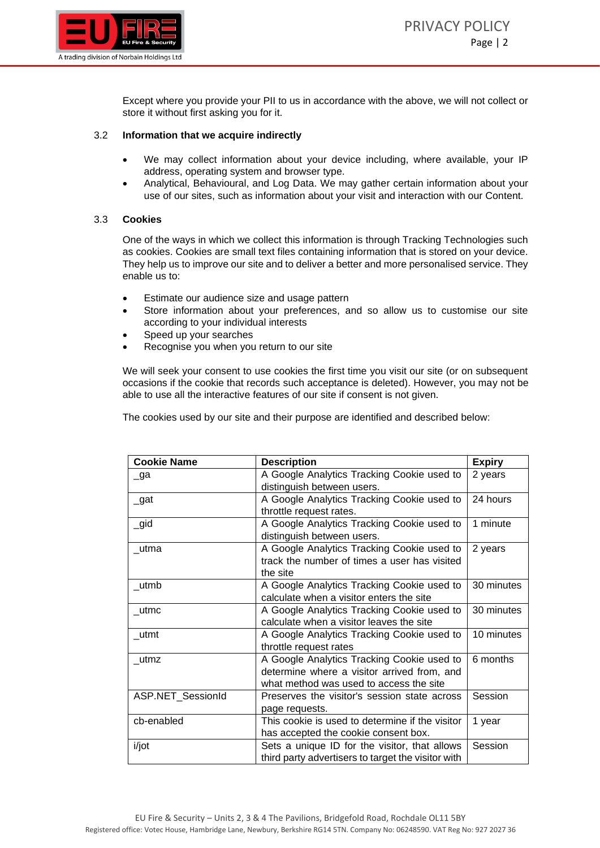

Except where you provide your PII to us in accordance with the above, we will not collect or store it without first asking you for it.

# 3.2 **Information that we acquire indirectly**

- We may collect information about your device including, where available, your IP address, operating system and browser type.
- Analytical, Behavioural, and Log Data. We may gather certain information about your use of our sites, such as information about your visit and interaction with our Content.

# 3.3 **Cookies**

One of the ways in which we collect this information is through Tracking Technologies such as cookies. Cookies are small text files containing information that is stored on your device. They help us to improve our site and to deliver a better and more personalised service. They enable us to:

- Estimate our audience size and usage pattern
- Store information about your preferences, and so allow us to customise our site according to your individual interests
- Speed up your searches
- Recognise you when you return to our site

We will seek your consent to use cookies the first time you visit our site (or on subsequent occasions if the cookie that records such acceptance is deleted). However, you may not be able to use all the interactive features of our site if consent is not given.

The cookies used by our site and their purpose are identified and described below:

| <b>Cookie Name</b> | <b>Description</b>                                 | <b>Expiry</b> |
|--------------------|----------------------------------------------------|---------------|
| _ga                | A Google Analytics Tracking Cookie used to         | 2 years       |
|                    | distinguish between users.                         |               |
| $\_$ gat           | A Google Analytics Tracking Cookie used to         | 24 hours      |
|                    | throttle request rates.                            |               |
| $\_gid$            | A Google Analytics Tracking Cookie used to         | 1 minute      |
|                    | distinguish between users.                         |               |
| _utma              | A Google Analytics Tracking Cookie used to         | 2 years       |
|                    | track the number of times a user has visited       |               |
|                    | the site                                           |               |
| _utmb              | A Google Analytics Tracking Cookie used to         | 30 minutes    |
|                    | calculate when a visitor enters the site           |               |
| utmc               | A Google Analytics Tracking Cookie used to         | 30 minutes    |
|                    | calculate when a visitor leaves the site           |               |
| utmt               | A Google Analytics Tracking Cookie used to         | 10 minutes    |
|                    | throttle request rates                             |               |
| utmz               | A Google Analytics Tracking Cookie used to         | 6 months      |
|                    | determine where a visitor arrived from, and        |               |
|                    | what method was used to access the site            |               |
| ASP.NET_SessionId  | Preserves the visitor's session state across       | Session       |
|                    | page requests.                                     |               |
| cb-enabled         | This cookie is used to determine if the visitor    | 1 year        |
|                    | has accepted the cookie consent box.               |               |
| i/jot              | Sets a unique ID for the visitor, that allows      | Session       |
|                    | third party advertisers to target the visitor with |               |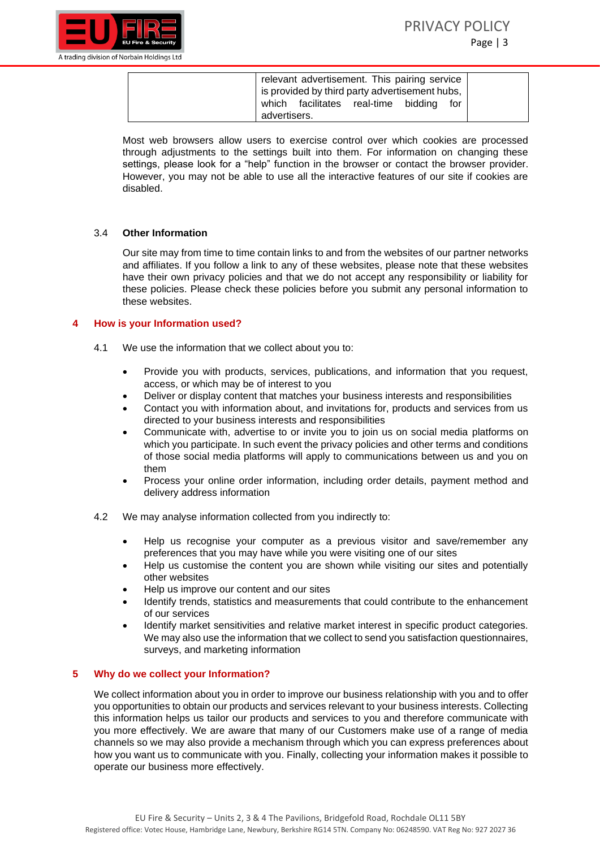



| relevant advertisement. This pairing service<br>is provided by third party advertisement hubs, |
|------------------------------------------------------------------------------------------------|
| which facilitates real-time bidding<br>for<br>advertisers.                                     |

Most web browsers allow users to exercise control over which cookies are processed through adjustments to the settings built into them. For information on changing these settings, please look for a "help" function in the browser or contact the browser provider. However, you may not be able to use all the interactive features of our site if cookies are disabled.

## 3.4 **Other Information**

Our site may from time to time contain links to and from the websites of our partner networks and affiliates. If you follow a link to any of these websites, please note that these websites have their own privacy policies and that we do not accept any responsibility or liability for these policies. Please check these policies before you submit any personal information to these websites.

#### **4 How is your Information used?**

- 4.1 We use the information that we collect about you to:
	- Provide you with products, services, publications, and information that you request, access, or which may be of interest to you
	- Deliver or display content that matches your business interests and responsibilities
	- Contact you with information about, and invitations for, products and services from us directed to your business interests and responsibilities
	- Communicate with, advertise to or invite you to join us on social media platforms on which you participate. In such event the privacy policies and other terms and conditions of those social media platforms will apply to communications between us and you on them
	- Process your online order information, including order details, payment method and delivery address information
- 4.2 We may analyse information collected from you indirectly to:
	- Help us recognise your computer as a previous visitor and save/remember any preferences that you may have while you were visiting one of our sites
	- Help us customise the content you are shown while visiting our sites and potentially other websites
	- Help us improve our content and our sites
	- Identify trends, statistics and measurements that could contribute to the enhancement of our services
	- Identify market sensitivities and relative market interest in specific product categories. We may also use the information that we collect to send you satisfaction questionnaires, surveys, and marketing information

# **5 Why do we collect your Information?**

We collect information about you in order to improve our business relationship with you and to offer you opportunities to obtain our products and services relevant to your business interests. Collecting this information helps us tailor our products and services to you and therefore communicate with you more effectively. We are aware that many of our Customers make use of a range of media channels so we may also provide a mechanism through which you can express preferences about how you want us to communicate with you. Finally, collecting your information makes it possible to operate our business more effectively.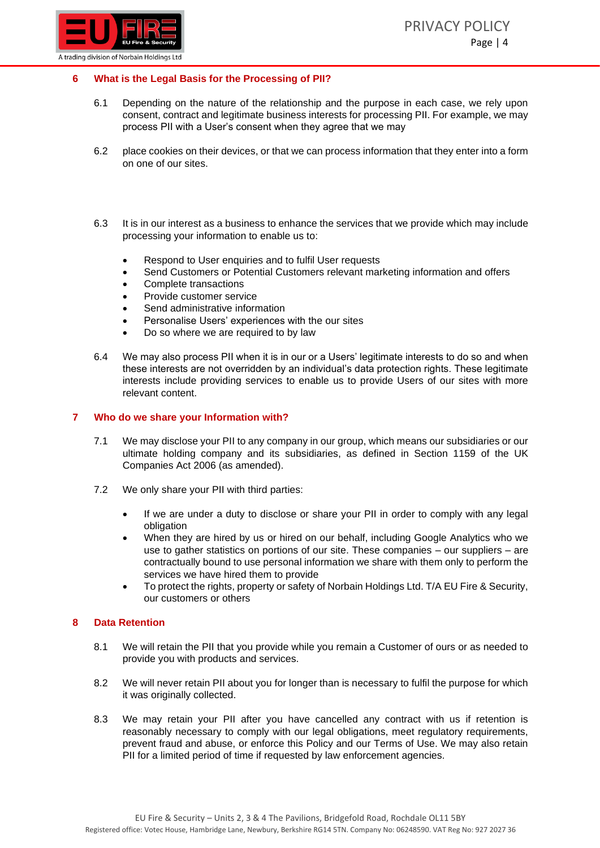

# **6 What is the Legal Basis for the Processing of PII?**

- 6.1 Depending on the nature of the relationship and the purpose in each case, we rely upon consent, contract and legitimate business interests for processing PII. For example, we may process PII with a User's consent when they agree that we may
- 6.2 place cookies on their devices, or that we can process information that they enter into a form on one of our sites.
- 6.3 It is in our interest as a business to enhance the services that we provide which may include processing your information to enable us to:
	- Respond to User enquiries and to fulfil User requests
	- Send Customers or Potential Customers relevant marketing information and offers
	- Complete transactions
	- Provide customer service
	- Send administrative information
	- Personalise Users' experiences with the our sites
	- Do so where we are required to by law
- 6.4 We may also process PII when it is in our or a Users' legitimate interests to do so and when these interests are not overridden by an individual's data protection rights. These legitimate interests include providing services to enable us to provide Users of our sites with more relevant content.

## **7 Who do we share your Information with?**

- 7.1 We may disclose your PII to any company in our group, which means our subsidiaries or our ultimate holding company and its subsidiaries, as defined in Section 1159 of the UK Companies Act 2006 (as amended).
- 7.2 We only share your PII with third parties:
	- If we are under a duty to disclose or share your PII in order to comply with any legal obligation
	- When they are hired by us or hired on our behalf, including Google Analytics who we use to gather statistics on portions of our site. These companies – our suppliers – are contractually bound to use personal information we share with them only to perform the services we have hired them to provide
	- To protect the rights, property or safety of Norbain Holdings Ltd. T/A EU Fire & Security, our customers or others

## **8 Data Retention**

- 8.1 We will retain the PII that you provide while you remain a Customer of ours or as needed to provide you with products and services.
- 8.2 We will never retain PII about you for longer than is necessary to fulfil the purpose for which it was originally collected.
- 8.3 We may retain your PII after you have cancelled any contract with us if retention is reasonably necessary to comply with our legal obligations, meet regulatory requirements, prevent fraud and abuse, or enforce this Policy and our Terms of Use. We may also retain PII for a limited period of time if requested by law enforcement agencies.